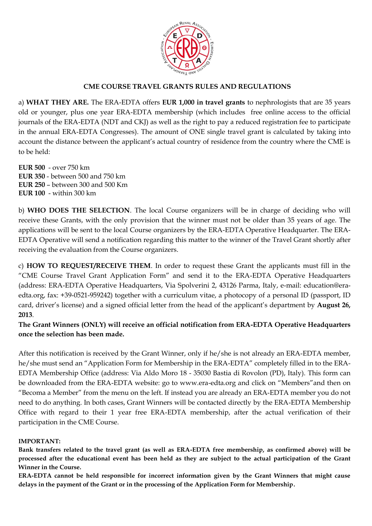

## **CME COURSE TRAVEL GRANTS RULES AND REGULATIONS**

a) **WHAT THEY ARE.** The ERA-EDTA offers **EUR 1,000 in travel grants** to nephrologists that are 35 years old or younger, plus one year ERA-EDTA membership (which includes free online access to the official journals of the ERA-EDTA (NDT and CKJ) as well as the right to pay a reduced registration fee to participate in the annual ERA-EDTA Congresses). The amount of ONE single travel grant is calculated by taking into account the distance between the applicant's actual country of residence from the country where the CME is to be held:

**EUR 500** - over 750 km **EUR 350** - between 500 and 750 km **EUR 250** – between 300 and 500 Km **EUR 100** - within 300 km

b) **WHO DOES THE SELECTION**. The local Course organizers will be in charge of deciding who will receive these Grants, with the only provision that the winner must not be older than 35 years of age. The applications will be sent to the local Course organizers by the ERA-EDTA Operative Headquarter. The ERA-EDTA Operative will send a notification regarding this matter to the winner of the Travel Grant shortly after receiving the evaluation from the Course organizers.

c) **HOW TO REQUEST/RECEIVE THEM**. In order to request these Grant the applicants must fill in the "CME Course Travel Grant Application Form" and send it to the ERA-EDTA Operative Headquarters (address: ERA-EDTA Operative Headquarters, Via Spolverini 2, 43126 Parma, Italy, e-mail: education@eraedta.org, fax: +39-0521-959242) together with a curriculum vitae, a photocopy of a personal ID (passport, ID card, driver's license) and a signed official letter from the head of the applicant's department by **August 26, 2013**.

**The Grant Winners (ONLY) will receive an official notification from ERA-EDTA Operative Headquarters once the selection has been made.** 

After this notification is received by the Grant Winner, only if he/she is not already an ERA-EDTA member, he/she must send an "Application Form for Membership in the ERA-EDTA" completely filled in to the ERA-EDTA Membership Office (address: Via Aldo Moro 18 - 35030 Bastia di Rovolon (PD), Italy). This form can be downloaded from the ERA-EDTA website: go to www.era-edta.org and click on "Members"and then on "Becoma a Member" from the menu on the left. If instead you are already an ERA-EDTA member you do not need to do anything. In both cases, Grant Winners will be contacted directly by the ERA-EDTA Membership Office with regard to their 1 year free ERA-EDTA membership, after the actual verification of their participation in the CME Course.

### **IMPORTANT:**

**Bank transfers related to the travel grant (as well as ERA-EDTA free membership, as confirmed above) will be processed after the educational event has been held as they are subject to the actual participation of the Grant Winner in the Course.**

**ERA-EDTA cannot be held responsible for incorrect information given by the Grant Winners that might cause delays in the payment of the Grant or in the processing of the Application Form for Membership.**